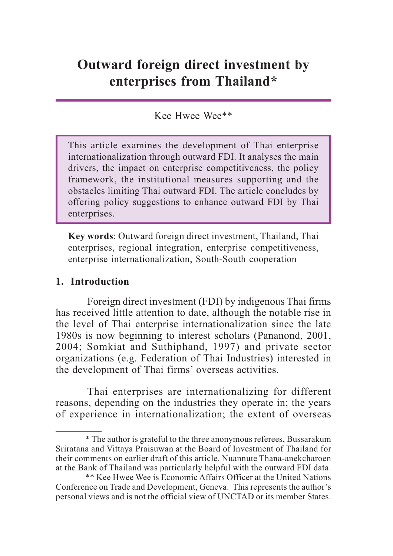# **Outward foreign direct investment by enterprises from Thailand\***

## Kee Hwee Wee\*\*

This article examines the development of Thai enterprise internationalization through outward FDI. It analyses the main drivers, the impact on enterprise competitiveness, the policy framework, the institutional measures supporting and the obstacles limiting Thai outward FDI. The article concludes by offering policy suggestions to enhance outward FDI by Thai enterprises.

**Key words**: Outward foreign direct investment, Thailand, Thai enterprises, regional integration, enterprise competitiveness, enterprise internationalization, South-South cooperation

#### **1. Introduction**

Foreign direct investment (FDI) by indigenous Thai firms has received little attention to date, although the notable rise in the level of Thai enterprise internationalization since the late 1980s is now beginning to interest scholars (Pananond, 2001, 2004; Somkiat and Suthiphand, 1997) and private sector organizations (e.g. Federation of Thai Industries) interested in the development of Thai firms' overseas activities.

Thai enterprises are internationalizing for different reasons, depending on the industries they operate in; the years of experience in internationalization; the extent of overseas

<sup>\*</sup> The author is grateful to the three anonymous referees, Bussarakum Sriratana and Vittaya Praisuwan at the Board of Investment of Thailand for their comments on earlier draft of this article. Nuannute Thana-anekcharoen at the Bank of Thailand was particularly helpful with the outward FDI data.

<sup>\*\*</sup> Kee Hwee Wee is Economic Affairs Officer at the United Nations Conference on Trade and Development, Geneva. This represents the author's personal views and is not the official view of UNCTAD or its member States.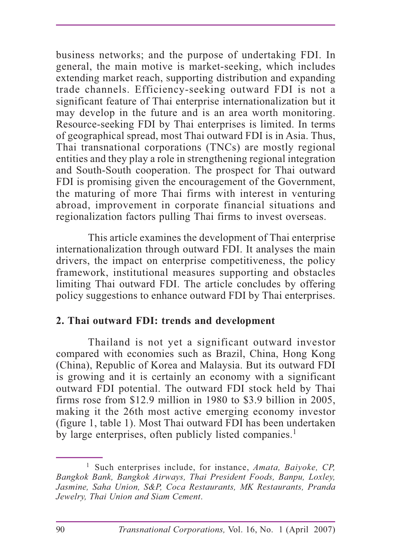business networks; and the purpose of undertaking FDI. In general, the main motive is market-seeking, which includes extending market reach, supporting distribution and expanding trade channels. Efficiency-seeking outward FDI is not a significant feature of Thai enterprise internationalization but it may develop in the future and is an area worth monitoring. Resource-seeking FDI by Thai enterprises is limited. In terms of geographical spread, most Thai outward FDI is in Asia. Thus, Thai transnational corporations (TNCs) are mostly regional entities and they play a role in strengthening regional integration and South-South cooperation. The prospect for Thai outward FDI is promising given the encouragement of the Government, the maturing of more Thai firms with interest in venturing abroad, improvement in corporate financial situations and regionalization factors pulling Thai firms to invest overseas.

This article examines the development of Thai enterprise internationalization through outward FDI. It analyses the main drivers, the impact on enterprise competitiveness, the policy framework, institutional measures supporting and obstacles limiting Thai outward FDI. The article concludes by offering policy suggestions to enhance outward FDI by Thai enterprises.

## **2. Thai outward FDI: trends and development**

Thailand is not yet a significant outward investor compared with economies such as Brazil, China, Hong Kong (China), Republic of Korea and Malaysia. But its outward FDI is growing and it is certainly an economy with a significant outward FDI potential. The outward FDI stock held by Thai firms rose from \$12.9 million in 1980 to \$3.9 billion in 2005, making it the 26th most active emerging economy investor (figure 1, table 1). Most Thai outward FDI has been undertaken by large enterprises, often publicly listed companies.<sup>1</sup>

<sup>1</sup> Such enterprises include, for instance, *Amata, Baiyoke, CP, Bangkok Bank, Bangkok Airways, Thai President Foods, Banpu, Loxley, Jasmine, Saha Union, S&P, Coca Restaurants, MK Restaurants, Pranda Jewelry, Thai Union and Siam Cement*.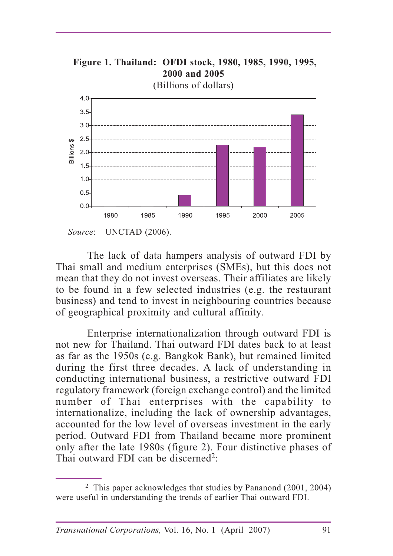

The lack of data hampers analysis of outward FDI by Thai small and medium enterprises (SMEs), but this does not mean that they do not invest overseas. Their affiliates are likely to be found in a few selected industries (e.g. the restaurant business) and tend to invest in neighbouring countries because of geographical proximity and cultural affinity.

Enterprise internationalization through outward FDI is not new for Thailand. Thai outward FDI dates back to at least as far as the 1950s (e.g. Bangkok Bank), but remained limited during the first three decades. A lack of understanding in conducting international business, a restrictive outward FDI regulatory framework (foreign exchange control) and the limited number of Thai enterprises with the capability to internationalize, including the lack of ownership advantages, accounted for the low level of overseas investment in the early period. Outward FDI from Thailand became more prominent only after the late 1980s (figure 2). Four distinctive phases of Thai outward FDI can be discerned<sup>2</sup>:

<sup>2</sup> This paper acknowledges that studies by Pananond (2001, 2004) were useful in understanding the trends of earlier Thai outward FDI.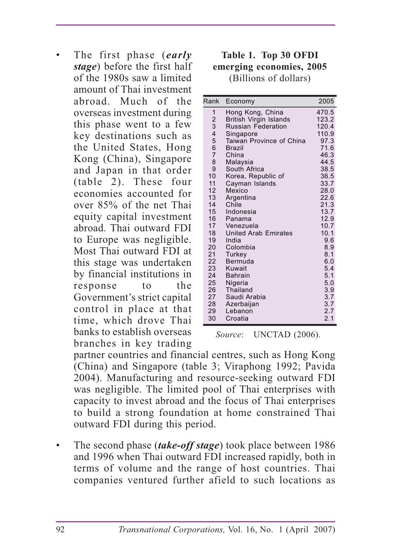• The first phase (*early stage*) before the first half of the 1980s saw a limited amount of Thai investment abroad. Much of the overseas investment during this phase went to a few key destinations such as the United States, Hong Kong (China), Singapore and Japan in that order (table 2). These four economies accounted for over 85% of the net Thai equity capital investment abroad. Thai outward FDI to Europe was negligible. Most Thai outward FDI at this stage was undertaken by financial institutions in response to the Government's strict capital control in place at that time, which drove Thai banks to establish overseas branches in key trading

#### **Table 1. Top 30 OFDI emerging economies, 2005** (Billions of dollars)

| Rank                                       | Economy                     | 2005  |
|--------------------------------------------|-----------------------------|-------|
| 1                                          | Hong Kong, China            | 470.5 |
| $\begin{array}{c} 2 \\ 3 \\ 4 \end{array}$ | British Virgin Islands      | 123.2 |
|                                            | <b>Russian Federation</b>   | 120.4 |
|                                            | Singapore                   | 110.9 |
| 5                                          | Taiwan Province of China    | 97.3  |
| $\overline{6}$                             | Brazil                      | 71.6  |
| $\overline{7}$                             | China                       | 46.3  |
| 8                                          | Malaysia                    | 44.5  |
| 9                                          | South Africa                | 38.5  |
| 10                                         | Korea, Republic of          | 36.5  |
| 11                                         | Cayman Islands              | 33.7  |
| 12                                         | Mexico                      | 28.0  |
| 13                                         | Argentina                   | 22.6  |
| 14                                         | Chile                       | 21.3  |
| 15                                         | Indonesia                   | 13.7  |
| 16                                         | Panama                      | 12.9  |
| 17                                         | Venezuela                   | 10.7  |
| 18                                         | <b>United Arab Emirates</b> | 10.1  |
| 19                                         | India                       | 9.6   |
| 20                                         | Colombia                    | 8.9   |
| 21                                         | <b>Turkey</b>               | 8.1   |
| 22                                         | Bermuda                     | 6.0   |
| 23                                         | Kuwait                      | 5.4   |
| 24                                         | <b>Bahrain</b>              | 5.1   |
| 25                                         | Nigeria                     | 5.0   |
| 26                                         | <b>Thailand</b>             | 3.9   |
| 27                                         | Saudi Arabia                | 3.7   |
| 28                                         | Azerbaijan                  | 3.7   |
| 29                                         | Lebanon                     | 2.7   |
| 30                                         | Croatia                     | 2.1   |

*Source*: UNCTAD (2006).

partner countries and financial centres, such as Hong Kong (China) and Singapore (table 3; Viraphong 1992; Pavida 2004). Manufacturing and resource-seeking outward FDI was negligible. The limited pool of Thai enterprises with capacity to invest abroad and the focus of Thai enterprises to build a strong foundation at home constrained Thai outward FDI during this period.

• The second phase (*take-off stage*) took place between 1986 and 1996 when Thai outward FDI increased rapidly, both in terms of volume and the range of host countries. Thai companies ventured further afield to such locations as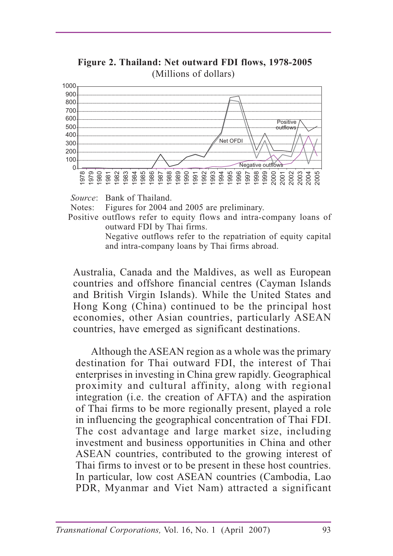

 **Figure 2. Thailand: Net outward FDI flows, 1978-2005** (Millions of dollars)

*Source*: Bank of Thailand.

Notes: Figures for 2004 and 2005 are preliminary.

Positive outflows refer to equity flows and intra-company loans of outward FDI by Thai firms.

Negative outflows refer to the repatriation of equity capital and intra-company loans by Thai firms abroad.

Australia, Canada and the Maldives, as well as European countries and offshore financial centres (Cayman Islands and British Virgin Islands). While the United States and Hong Kong (China) continued to be the principal host economies, other Asian countries, particularly ASEAN countries, have emerged as significant destinations.

 Although the ASEAN region as a whole was the primary destination for Thai outward FDI, the interest of Thai enterprises in investing in China grew rapidly. Geographical proximity and cultural affinity, along with regional integration (i.e. the creation of AFTA) and the aspiration of Thai firms to be more regionally present, played a role in influencing the geographical concentration of Thai FDI. The cost advantage and large market size, including investment and business opportunities in China and other ASEAN countries, contributed to the growing interest of Thai firms to invest or to be present in these host countries. In particular, low cost ASEAN countries (Cambodia, Lao PDR, Myanmar and Viet Nam) attracted a significant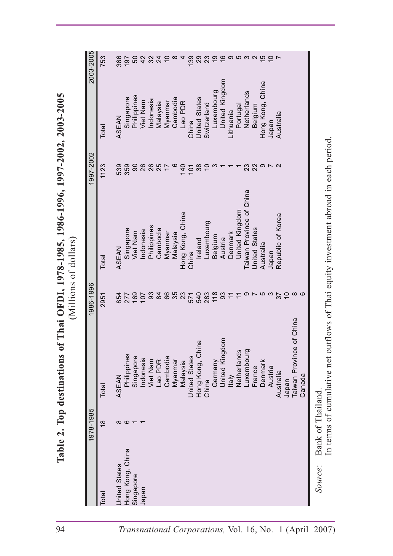| United Kingdom<br>Hong Kong, Chin<br>Taiwan Province<br>Luxembourg<br>Netherlands<br>Philippines<br>Singapore<br><b>United States</b><br>Cambodia<br>Indonesia<br>Viet Nam<br>Lao PDR<br>Myanmar<br>Germany<br>Denmark<br>Malaysia<br>France<br>Austria<br>Australia<br>ASEAN<br><b>Italy</b><br>China<br>Japan<br>Total<br>1978-1985<br>$\frac{8}{1}$<br>$\infty$ $\infty$ $\leftarrow$ | 2003-2005<br>1997-2002<br>1986-1996 | Total<br>1123<br>Total<br>2951 | ASEAN<br>539<br>ASEAN<br>854 | Singapore<br>359<br>Singapore<br>277 | Philippines<br>$\infty$<br>Viet Nam<br>169 | Viet Nam<br>26<br>hdonesia<br>107 | Indonesia<br>26<br>Philippines<br>93 | Malaysia<br>25<br>Cambodia<br>$\frac{8}{4}$ | Myanmar<br>Myanmar<br>89 | Cambodia<br>ဖ<br>Malaysia<br>35 | Lao PDR<br>140<br>Hong Kong, China<br>23 | China<br>101<br>China<br>571 | <b>United States</b><br>$38\,$<br>Ireland<br>540<br>ω | Switzerland<br>$\overline{10}$<br>Luxembourg<br>283 | Luxembourg<br>က<br>Belgium<br>118 | United Kingdom<br>Austria<br>93 | Lithuania<br>Denmark<br>$\tilde{t}$ | Portugal<br>United Kingdom<br>$\overline{r}$ | Netherlands<br>Taiwan Province of China | Belgium<br>23<br>22<br><b>United States</b> | Hong Kong, China<br>$\Omega \sim \Omega$<br>Australia | Japan<br>Japan | Australia<br>Republic of Korea<br>26<br>26<br>26<br>26 | $\overline{C}$ | $\infty$<br>of China |
|------------------------------------------------------------------------------------------------------------------------------------------------------------------------------------------------------------------------------------------------------------------------------------------------------------------------------------------------------------------------------------------|-------------------------------------|--------------------------------|------------------------------|--------------------------------------|--------------------------------------------|-----------------------------------|--------------------------------------|---------------------------------------------|--------------------------|---------------------------------|------------------------------------------|------------------------------|-------------------------------------------------------|-----------------------------------------------------|-----------------------------------|---------------------------------|-------------------------------------|----------------------------------------------|-----------------------------------------|---------------------------------------------|-------------------------------------------------------|----------------|--------------------------------------------------------|----------------|----------------------|
|                                                                                                                                                                                                                                                                                                                                                                                          |                                     |                                |                              |                                      |                                            |                                   |                                      |                                             |                          |                                 |                                          |                              |                                                       |                                                     |                                   |                                 |                                     |                                              |                                         |                                             |                                                       |                |                                                        |                |                      |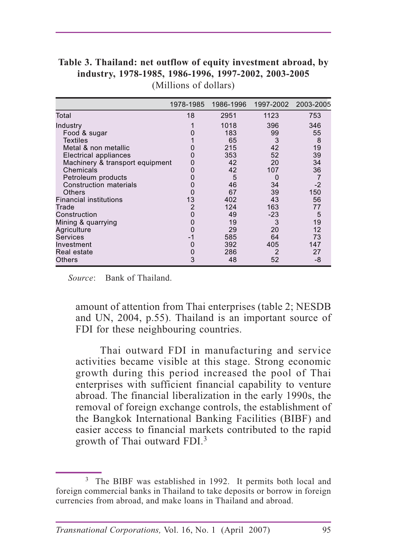|                                 | 1978-1985 | 1986-1996 |      | 1997-2002 2003-2005 |
|---------------------------------|-----------|-----------|------|---------------------|
| Total                           | 18        | 2951      | 1123 | 753                 |
| Industry                        |           | 1018      | 396  | 346                 |
| Food & sugar                    |           | 183       | 99   | 55                  |
| <b>Textiles</b>                 |           | 65        | 3    | 8                   |
| Metal & non metallic            |           | 215       | 42   | 19                  |
| <b>Electrical appliances</b>    |           | 353       | 52   | 39                  |
| Machinery & transport equipment |           | 42        | 20   | 34                  |
| <b>Chemicals</b>                |           | 42        | 107  | 36                  |
| Petroleum products              |           | 5         | 0    |                     |
| <b>Construction materials</b>   |           | 46        | 34   | $-2$                |
| <b>Others</b>                   |           | 67        | 39   | 150                 |
| <b>Financial institutions</b>   | 13        | 402       | 43   | 56                  |
| Trade                           | 2         | 124       | 163  | 77                  |
| Construction                    |           | 49        | -23  | 5                   |
| Mining & quarrying              |           | 19        | 3    | 19                  |
| Agriculture                     |           | 29        | 20   | 12                  |
| <b>Services</b>                 | -1        | 585       | 64   | 73                  |
| Investment                      |           | 392       | 405  | 147                 |
| Real estate                     |           | 286       | 2    | 27                  |
| <b>Others</b>                   | 3         | 48        | 52   | -8                  |

**Table 3. Thailand: net outflow of equity investment abroad, by industry, 1978-1985, 1986-1996, 1997-2002, 2003-2005** (Millions of dollars)

*Source*: Bank of Thailand.

amount of attention from Thai enterprises (table 2; NESDB and UN, 2004, p.55). Thailand is an important source of FDI for these neighbouring countries.

 Thai outward FDI in manufacturing and service activities became visible at this stage. Strong economic growth during this period increased the pool of Thai enterprises with sufficient financial capability to venture abroad. The financial liberalization in the early 1990s, the removal of foreign exchange controls, the establishment of the Bangkok International Banking Facilities (BIBF) and easier access to financial markets contributed to the rapid growth of Thai outward FDI.<sup>3</sup>

<sup>&</sup>lt;sup>3</sup> The BIBF was established in 1992. It permits both local and foreign commercial banks in Thailand to take deposits or borrow in foreign currencies from abroad, and make loans in Thailand and abroad.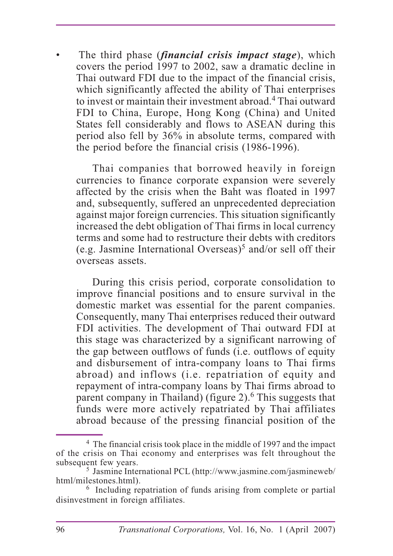The third phase (*financial crisis impact stage*), which covers the period 1997 to 2002, saw a dramatic decline in Thai outward FDI due to the impact of the financial crisis, which significantly affected the ability of Thai enterprises to invest or maintain their investment abroad.4 Thai outward FDI to China, Europe, Hong Kong (China) and United States fell considerably and flows to ASEAN during this period also fell by 36% in absolute terms, compared with the period before the financial crisis (1986-1996).

 Thai companies that borrowed heavily in foreign currencies to finance corporate expansion were severely affected by the crisis when the Baht was floated in 1997 and, subsequently, suffered an unprecedented depreciation against major foreign currencies. This situation significantly increased the debt obligation of Thai firms in local currency terms and some had to restructure their debts with creditors (e.g. Jasmine International Overseas)<sup>5</sup> and/or sell off their overseas assets.

 During this crisis period, corporate consolidation to improve financial positions and to ensure survival in the domestic market was essential for the parent companies. Consequently, many Thai enterprises reduced their outward FDI activities. The development of Thai outward FDI at this stage was characterized by a significant narrowing of the gap between outflows of funds (i.e. outflows of equity and disbursement of intra-company loans to Thai firms abroad) and inflows (i.e. repatriation of equity and repayment of intra-company loans by Thai firms abroad to parent company in Thailand) (figure 2).<sup>6</sup> This suggests that funds were more actively repatriated by Thai affiliates abroad because of the pressing financial position of the

<sup>4</sup> The financial crisis took place in the middle of 1997 and the impact of the crisis on Thai economy and enterprises was felt throughout the subsequent few years.

<sup>5</sup> Jasmine International PCL (http://www.jasmine.com/jasmineweb/ html/milestones.html).

<sup>&</sup>lt;sup>6</sup> Including repatriation of funds arising from complete or partial disinvestment in foreign affiliates.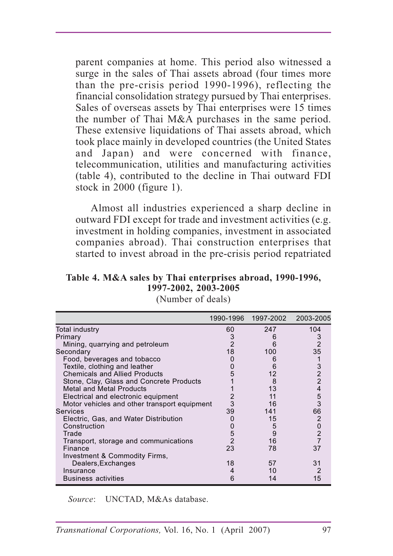parent companies at home. This period also witnessed a surge in the sales of Thai assets abroad (four times more than the pre-crisis period 1990-1996), reflecting the financial consolidation strategy pursued by Thai enterprises. Sales of overseas assets by Thai enterprises were 15 times the number of Thai M&A purchases in the same period. These extensive liquidations of Thai assets abroad, which took place mainly in developed countries (the United States and Japan) and were concerned with finance, telecommunication, utilities and manufacturing activities (table 4), contributed to the decline in Thai outward FDI stock in 2000 (figure 1).

 Almost all industries experienced a sharp decline in outward FDI except for trade and investment activities (e.g. investment in holding companies, investment in associated companies abroad). Thai construction enterprises that started to invest abroad in the pre-crisis period repatriated

## **Table 4. M&A sales by Thai enterprises abroad, 1990-1996, 1997-2002, 2003-2005**

|                                              |                | 1990-1996 1997-2002 | 2003-2005      |
|----------------------------------------------|----------------|---------------------|----------------|
| Total industry                               | 60             | 247                 | 104            |
| Primary                                      | 3              |                     | 3              |
| Mining, quarrying and petroleum              | $\overline{2}$ |                     | $\mathfrak{p}$ |
| Secondary                                    | 18             | 100                 | 35             |
| Food, beverages and tobacco                  |                | h                   |                |
| Textile, clothing and leather                | 0              |                     | 3              |
| <b>Chemicals and Allied Products</b>         | 5              | 12                  | $\overline{2}$ |
| Stone, Clay, Glass and Concrete Products     |                | 8                   | $\overline{2}$ |
| <b>Metal and Metal Products</b>              |                | 13                  |                |
| Electrical and electronic equipment          |                |                     | 5              |
| Motor vehicles and other transport equipment | 3              | 16                  | 3              |
| <b>Services</b>                              | 39             | 141                 | 66             |
| Electric, Gas, and Water Distribution        |                | 15                  |                |
| Construction                                 |                | 5                   | 0              |
| Trade                                        | 5              | 9                   | $\overline{2}$ |
| Transport, storage and communications        |                | 16                  |                |
| <b>Finance</b>                               | 23             | 78                  | 37             |
| Investment & Commodity Firms,                |                |                     |                |
| Dealers, Exchanges                           | 18             | 57                  | 31             |
| Insurance                                    |                | 10                  | 2              |
| <b>Business activities</b>                   | 6              | 14                  | 15             |

(Number of deals)

*Source*: UNCTAD, M&As database.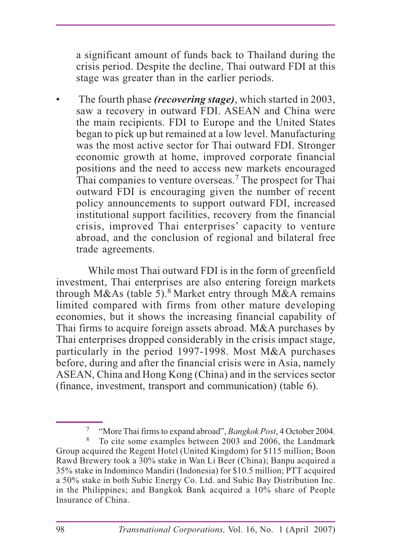a significant amount of funds back to Thailand during the crisis period. Despite the decline, Thai outward FDI at this stage was greater than in the earlier periods.

• The fourth phase *(recovering stage)*, which started in 2003, saw a recovery in outward FDI. ASEAN and China were the main recipients. FDI to Europe and the United States began to pick up but remained at a low level. Manufacturing was the most active sector for Thai outward FDI. Stronger economic growth at home, improved corporate financial positions and the need to access new markets encouraged Thai companies to venture overseas.<sup>7</sup> The prospect for Thai outward FDI is encouraging given the number of recent policy announcements to support outward FDI, increased institutional support facilities, recovery from the financial crisis, improved Thai enterprises' capacity to venture abroad, and the conclusion of regional and bilateral free trade agreements.

While most Thai outward FDI is in the form of greenfield investment, Thai enterprises are also entering foreign markets through M&As (table 5).<sup>8</sup> Market entry through M&A remains limited compared with firms from other mature developing economies, but it shows the increasing financial capability of Thai firms to acquire foreign assets abroad. M&A purchases by Thai enterprises dropped considerably in the crisis impact stage, particularly in the period 1997-1998. Most M&A purchases before, during and after the financial crisis were in Asia, namely ASEAN, China and Hong Kong (China) and in the services sector (finance, investment, transport and communication) (table 6).

<sup>7</sup> "More Thai firms to expand abroad", *Bangkok Post*, 4 October 2004.

To cite some examples between 2003 and 2006, the Landmark Group acquired the Regent Hotel (United Kingdom) for \$115 million; Boon Rawd Brewery took a 30% stake in Wan Li Beer (China); Banpu acquired a 35% stake in Indominco Mandiri (Indonesia) for \$10.5 million; PTT acquired a 50% stake in both Subic Energy Co. Ltd. and Subic Bay Distribution Inc. in the Philippines; and Bangkok Bank acquired a 10% share of People Insurance of China.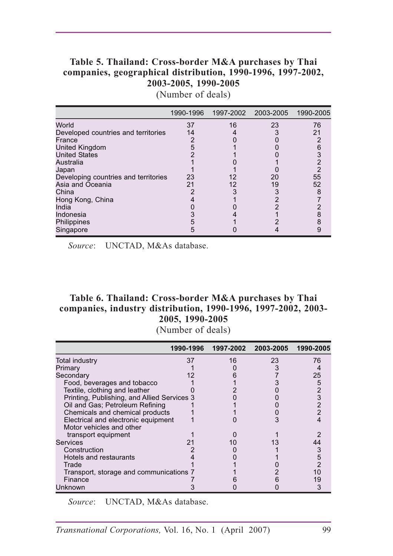#### **Table 5. Thailand: Cross-border M&A purchases by Thai companies, geographical distribution, 1990-1996, 1997-2002, 2003-2005, 1990-2005**

(Number of deals)

|                                      |    |    | 1990-1996  1997-2002  2003-2005  1990-2005 |    |
|--------------------------------------|----|----|--------------------------------------------|----|
| World                                | 37 | 16 | 23                                         | 76 |
| Developed countries and territories  | 14 |    |                                            | 21 |
| France                               |    |    |                                            |    |
| <b>United Kingdom</b>                |    |    |                                            |    |
| <b>United States</b>                 |    |    |                                            |    |
| Australia                            |    |    |                                            |    |
| Japan                                |    |    |                                            |    |
| Developing countries and territories | 23 | 12 | 20                                         | 55 |
| Asia and Oceania                     | 21 | 12 | 19                                         | 52 |
| China                                |    |    |                                            |    |
| Hong Kong, China                     |    |    |                                            |    |
| India                                |    |    |                                            |    |
| Indonesia                            |    |    |                                            |    |
| Philippines                          |    |    |                                            |    |
| Singapore                            |    |    |                                            |    |

*Source*: UNCTAD, M&As database.

#### **Table 6. Thailand: Cross-border M&A purchases by Thai companies, industry distribution, 1990-1996, 1997-2002, 2003- 2005, 1990-2005**

(Number of deals)

|                                             | 1990-1996 | 1997-2002 | 2003-2005 | 1990-2005 |
|---------------------------------------------|-----------|-----------|-----------|-----------|
| <b>Total industry</b>                       | 37        | 16        | 23        | 76        |
| Primary                                     |           |           |           |           |
| Secondary                                   |           |           |           | 25        |
| Food, beverages and tobacco                 |           |           |           |           |
| Textile, clothing and leather               |           |           |           |           |
| Printing, Publishing, and Allied Services 3 |           |           |           |           |
| Oil and Gas; Petroleum Refining             |           |           |           |           |
| Chemicals and chemical products             |           |           |           |           |
| Electrical and electronic equipment         |           |           |           |           |
| Motor vehicles and other                    |           |           |           |           |
| transport equipment                         |           |           |           |           |
| Services                                    |           |           |           |           |
| Construction                                |           |           |           |           |
| Hotels and restaurants                      |           |           |           |           |
| Trade                                       |           |           |           |           |
| Transport, storage and communications 7     |           |           |           |           |
| Finance                                     |           |           |           |           |
| Unknown                                     |           |           |           |           |

*Source*: UNCTAD, M&As database.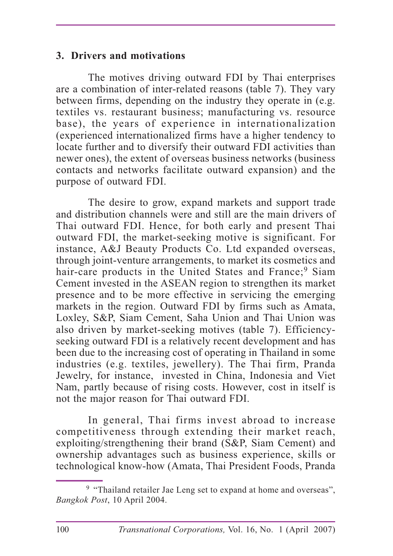#### **3. Drivers and motivations**

The motives driving outward FDI by Thai enterprises are a combination of inter-related reasons (table 7). They vary between firms, depending on the industry they operate in (e.g. textiles vs. restaurant business; manufacturing vs. resource base), the years of experience in internationalization (experienced internationalized firms have a higher tendency to locate further and to diversify their outward FDI activities than newer ones), the extent of overseas business networks (business contacts and networks facilitate outward expansion) and the purpose of outward FDI.

The desire to grow, expand markets and support trade and distribution channels were and still are the main drivers of Thai outward FDI. Hence, for both early and present Thai outward FDI, the market-seeking motive is significant. For instance, A&J Beauty Products Co. Ltd expanded overseas, through joint-venture arrangements, to market its cosmetics and hair-care products in the United States and France;<sup>9</sup> Siam Cement invested in the ASEAN region to strengthen its market presence and to be more effective in servicing the emerging markets in the region. Outward FDI by firms such as Amata, Loxley, S&P, Siam Cement, Saha Union and Thai Union was also driven by market-seeking motives (table 7). Efficiencyseeking outward FDI is a relatively recent development and has been due to the increasing cost of operating in Thailand in some industries (e.g. textiles, jewellery). The Thai firm, Pranda Jewelry, for instance, invested in China, Indonesia and Viet Nam, partly because of rising costs. However, cost in itself is not the major reason for Thai outward FDI.

In general, Thai firms invest abroad to increase competitiveness through extending their market reach, exploiting/strengthening their brand (S&P, Siam Cement) and ownership advantages such as business experience, skills or technological know-how (Amata, Thai President Foods, Pranda

<sup>&</sup>lt;sup>9</sup> "Thailand retailer Jae Leng set to expand at home and overseas", *Bangkok Post*, 10 April 2004.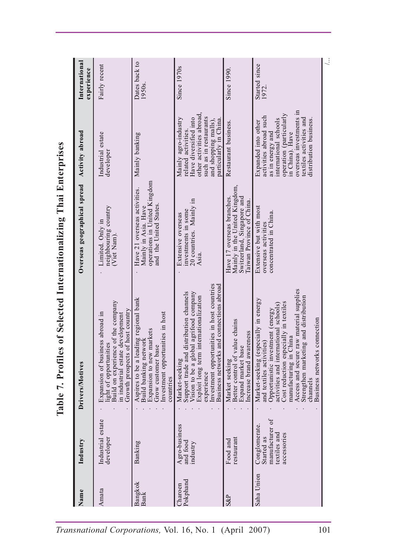|                                                                   | International<br>experience                                           | Fairly recent                                                                                                                                                              | Dates back to<br>1950s.                                                                                                                                           | Since 1970s                                                                                                                                                                                                                                           | Since 1990.                                                                                                           | Started since<br>1972.                                                                                                                                                                                                                                                                                                                           | $\ddot{\cdot}$ |  |  |  |
|-------------------------------------------------------------------|-----------------------------------------------------------------------|----------------------------------------------------------------------------------------------------------------------------------------------------------------------------|-------------------------------------------------------------------------------------------------------------------------------------------------------------------|-------------------------------------------------------------------------------------------------------------------------------------------------------------------------------------------------------------------------------------------------------|-----------------------------------------------------------------------------------------------------------------------|--------------------------------------------------------------------------------------------------------------------------------------------------------------------------------------------------------------------------------------------------------------------------------------------------------------------------------------------------|----------------|--|--|--|
|                                                                   | Activity abroad                                                       | Industrial estate<br>developer                                                                                                                                             | Mainly banking                                                                                                                                                    | other activities abroad,<br>such as in restaurants<br>Have diversified into<br>Mainly agro-industry<br>particularly in China.<br>and shopping malls)<br>related activities.                                                                           | Restaurant business.                                                                                                  | overseas investments in<br>operation (particularly<br>activities abroad such<br>textiles activities and<br>international schools<br>distribution business.<br>Expanded into other<br>as in energy and<br>in China). Have                                                                                                                         |                |  |  |  |
|                                                                   | Overseas geographical spread                                          | neighbouring country<br>Limited. Only in<br>(Viet Nam).                                                                                                                    | operations in United Kingdom<br>Have 21 overseas activities.<br>and the United States<br>Mainly in Asia. Have                                                     | 20 countries. Mainly in<br>investments in some<br>Extensive overseas<br>Asia.                                                                                                                                                                         | Mainly in the United Kingdom,<br>Switzerland, Singapore and<br>Have 17 overseas branches.<br>Taiwan Province of China | Extensive but with most<br>concentrated in China.<br>overseas activities                                                                                                                                                                                                                                                                         |                |  |  |  |
| Table 7. Profiles of Selected Internationalizing Thai Enterprises | Drivers/Motives                                                       | Build on experience of the company<br>of host country<br>Expansion of business abroad in<br>in industrial estate development<br>light of opportunities<br>Growth prospects | Aspires to be a leading regional bank<br>Investment opportunities in host<br>Expansion to new markets<br>Build banking network<br>Grow customer base<br>countries | Investment opportunities in host countries<br>Business networks and connections abroad<br>Support trade and distribution channels<br>Vision to be a global agrifood company<br>Exploit long term internationalization<br>Market-seeking<br>experience | value chains<br>Increase brand awareness<br>Expand market base<br>Better control of<br>Market seeking                 | Access and secure raw material supplies<br>Strengthen marketing and distribution<br>Market-seeking (especially in energy<br>Cost reduction especially in textiles<br>activities and international schools)<br>Opportunistic investment (energy<br>Business networks connection<br>manufacturing in China<br>and textiles activities)<br>channels |                |  |  |  |
|                                                                   | Industry                                                              | Industrial estate<br>developer                                                                                                                                             | Banking                                                                                                                                                           | Agro-business<br>and food<br>industry                                                                                                                                                                                                                 | restaurant<br>Food and                                                                                                | manufacturer of<br>Conglomerate.<br>textiles and<br>accessories<br>Started as                                                                                                                                                                                                                                                                    |                |  |  |  |
|                                                                   | Name                                                                  | Amata                                                                                                                                                                      | Bangkok<br>Bank                                                                                                                                                   | Pokphand<br>Charoen                                                                                                                                                                                                                                   | <b>S&amp;P</b>                                                                                                        | Saha Union                                                                                                                                                                                                                                                                                                                                       |                |  |  |  |
|                                                                   | 101<br>Transnational Corporations, Vol. 16, No. 1<br>(April)<br>2007) |                                                                                                                                                                            |                                                                                                                                                                   |                                                                                                                                                                                                                                                       |                                                                                                                       |                                                                                                                                                                                                                                                                                                                                                  |                |  |  |  |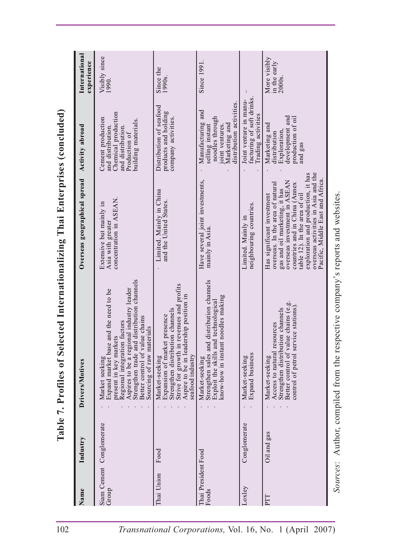|                                                                               | International<br>experience                                | Visibly since<br>1990.                                                                                                                                                                                                                                                         | Since the<br>1990s.                                                                                                                                                                           | Since 1991                                                                                                                                                       |                                                                          | More visibly<br>in the early<br>2000s.                                                                                                                                                                                                                                                                             |                                                                      |  |
|-------------------------------------------------------------------------------|------------------------------------------------------------|--------------------------------------------------------------------------------------------------------------------------------------------------------------------------------------------------------------------------------------------------------------------------------|-----------------------------------------------------------------------------------------------------------------------------------------------------------------------------------------------|------------------------------------------------------------------------------------------------------------------------------------------------------------------|--------------------------------------------------------------------------|--------------------------------------------------------------------------------------------------------------------------------------------------------------------------------------------------------------------------------------------------------------------------------------------------------------------|----------------------------------------------------------------------|--|
|                                                                               | Activity abroad                                            | Chemical production<br>Cement production<br>building materials.<br>and distribution.<br>and distribution<br>Production of                                                                                                                                                      | Distribution of seafood<br>products and holding<br>company activities.                                                                                                                        | distribution activities<br>Manufacturing and<br>noodles through<br>Marketing and<br>joint ventures.<br>selling instant                                           | facturing of soft drinks<br>Joint venture in manu-<br>Trading activities | development and<br>production of oil<br>Marketing and<br>Exploration<br>distribution<br>and gas                                                                                                                                                                                                                    |                                                                      |  |
|                                                                               | Overseas geographical spread                               | concentration in ASEAN<br>Extensive but mainly in<br>Asia with greater                                                                                                                                                                                                         | Limited. Mainly in China<br>and the United States.                                                                                                                                            | Have several joint investments,<br>mainly in Asia                                                                                                                | neighbouring countries.<br>Limited. Mainly in                            | overseas activities in Asia and the<br>exploration and production, it has<br>Pacific, Middle East and Africa.<br>overseas investment in ASEAN<br>countries and in China (Annex<br>overseas. In the area of natural<br>gas and oil marketing, it has<br>table 12). In the area of oil<br>Has significant investment |                                                                      |  |
| Table 7. Profiles of Selected Internationalizing Thai Enterprises (concluded) | Drivers/Motives                                            | Strengthen trade and distribution channels<br>Aspires to be a regional industry leader<br>Expand market base and the need to be<br>Better control of value chains<br>Regional integration factors<br>aterials<br>present in key markets<br>Sourcing of raw m<br>Market seeking | Strive for growth in revenues and profits<br>Aspire to be in leadership position in<br>Strengthen distribution channels<br>Expansion of market presence<br>seafood industry<br>Market-seeking | ad distribution channels<br>know-how in instant noodles making<br>Strengthen sales and distribution ch<br>Exploit the skills and technological<br>Market-seeking | Expand business<br>Market-seeking                                        | Better control of value chains (e.g.<br>control of petrol service stations).<br>Strengthen distribution channels<br>resources<br>Access to natural<br>Market-seeking                                                                                                                                               | Author, compiled from the respective company's reports and websites. |  |
|                                                                               | Industry                                                   | Siam Cement Conglomerate                                                                                                                                                                                                                                                       | Food                                                                                                                                                                                          |                                                                                                                                                                  | Conglomerate                                                             | Oil and gas                                                                                                                                                                                                                                                                                                        |                                                                      |  |
|                                                                               | Name                                                       | Group                                                                                                                                                                                                                                                                          | Thai Union                                                                                                                                                                                    | Thai President Food<br>Foods                                                                                                                                     | Loxley                                                                   | PTT                                                                                                                                                                                                                                                                                                                | Sources:                                                             |  |
| 102                                                                           | Transnational Corporations, Vol. 16, No. 1 (April<br>2007) |                                                                                                                                                                                                                                                                                |                                                                                                                                                                                               |                                                                                                                                                                  |                                                                          |                                                                                                                                                                                                                                                                                                                    |                                                                      |  |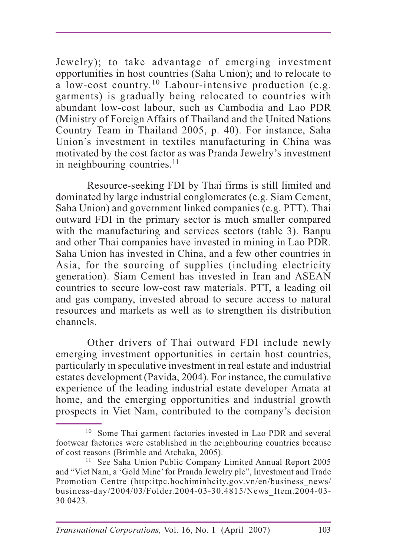Jewelry); to take advantage of emerging investment opportunities in host countries (Saha Union); and to relocate to a low-cost country.10 Labour-intensive production (e.g. garments) is gradually being relocated to countries with abundant low-cost labour, such as Cambodia and Lao PDR (Ministry of Foreign Affairs of Thailand and the United Nations Country Team in Thailand 2005, p. 40). For instance, Saha Union's investment in textiles manufacturing in China was motivated by the cost factor as was Pranda Jewelry's investment in neighbouring countries.<sup>11</sup>

Resource-seeking FDI by Thai firms is still limited and dominated by large industrial conglomerates (e.g. Siam Cement, Saha Union) and government linked companies (e.g. PTT). Thai outward FDI in the primary sector is much smaller compared with the manufacturing and services sectors (table 3). Banpu and other Thai companies have invested in mining in Lao PDR. Saha Union has invested in China, and a few other countries in Asia, for the sourcing of supplies (including electricity generation). Siam Cement has invested in Iran and ASEAN countries to secure low-cost raw materials. PTT, a leading oil and gas company, invested abroad to secure access to natural resources and markets as well as to strengthen its distribution channels.

Other drivers of Thai outward FDI include newly emerging investment opportunities in certain host countries, particularly in speculative investment in real estate and industrial estates development (Pavida, 2004). For instance, the cumulative experience of the leading industrial estate developer Amata at home, and the emerging opportunities and industrial growth prospects in Viet Nam, contributed to the company's decision

<sup>10</sup> Some Thai garment factories invested in Lao PDR and several footwear factories were established in the neighbouring countries because of cost reasons (Brimble and Atchaka, 2005).

<sup>&</sup>lt;sup>11</sup> See Saha Union Public Company Limited Annual Report 2005 and "Viet Nam, a 'Gold Mine' for Pranda Jewelry plc", Investment and Trade Promotion Centre (http:itpc.hochiminhcity.gov.vn/en/business\_news/ business-day/2004/03/Folder.2004-03-30.4815/News\_Item.2004-03- 30.0423.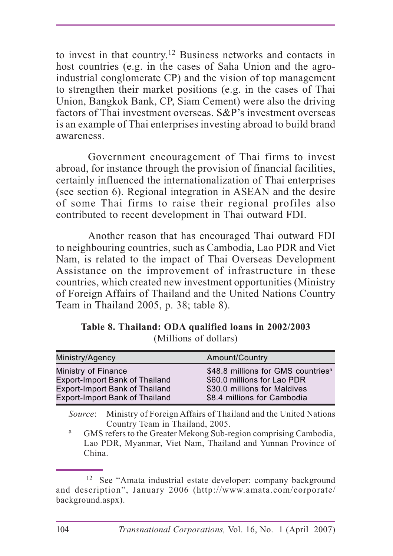to invest in that country.12 Business networks and contacts in host countries (e.g. in the cases of Saha Union and the agroindustrial conglomerate CP) and the vision of top management to strengthen their market positions (e.g. in the cases of Thai Union, Bangkok Bank, CP, Siam Cement) were also the driving factors of Thai investment overseas. S&P's investment overseas is an example of Thai enterprises investing abroad to build brand awareness.

Government encouragement of Thai firms to invest abroad, for instance through the provision of financial facilities, certainly influenced the internationalization of Thai enterprises (see section 6). Regional integration in ASEAN and the desire of some Thai firms to raise their regional profiles also contributed to recent development in Thai outward FDI.

Another reason that has encouraged Thai outward FDI to neighbouring countries, such as Cambodia, Lao PDR and Viet Nam, is related to the impact of Thai Overseas Development Assistance on the improvement of infrastructure in these countries, which created new investment opportunities (Ministry of Foreign Affairs of Thailand and the United Nations Country Team in Thailand 2005, p. 38; table 8).

| Ministry/Agency                                                                | Amount/Country                                              |
|--------------------------------------------------------------------------------|-------------------------------------------------------------|
| Ministry of Finance                                                            | \$48.8 millions for GMS countries <sup>a</sup>              |
| <b>Export-Import Bank of Thailand</b><br><b>Export-Import Bank of Thailand</b> | \$60.0 millions for Lao PDR<br>\$30.0 millions for Maldives |
| <b>Export-Import Bank of Thailand</b>                                          | \$8.4 millions for Cambodia                                 |

**Table 8. Thailand: ODA qualified loans in 2002/2003** (Millions of dollars)

*Source*: Ministry of Foreign Affairs of Thailand and the United Nations Country Team in Thailand, 2005.

<sup>a</sup> GMS refers to the Greater Mekong Sub-region comprising Cambodia, Lao PDR, Myanmar, Viet Nam, Thailand and Yunnan Province of China.

<sup>&</sup>lt;sup>12</sup> See "Amata industrial estate developer: company background and description", January 2006 (http://www.amata.com/corporate/ background.aspx).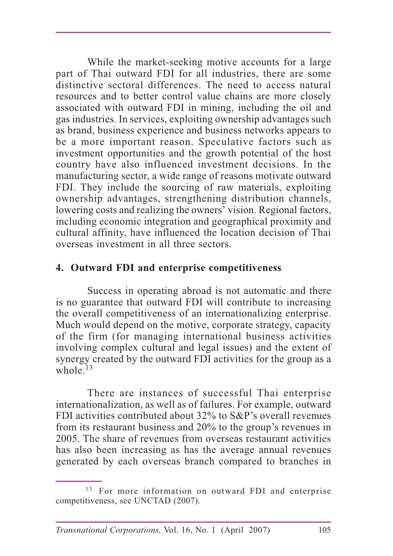While the market-seeking motive accounts for a large part of Thai outward FDI for all industries, there are some distinctive sectoral differences. The need to access natural resources and to better control value chains are more closely associated with outward FDI in mining, including the oil and gas industries. In services, exploiting ownership advantages such as brand, business experience and business networks appears to be a more important reason. Speculative factors such as investment opportunities and the growth potential of the host country have also influenced investment decisions. In the manufacturing sector, a wide range of reasons motivate outward FDI. They include the sourcing of raw materials, exploiting ownership advantages, strengthening distribution channels, lowering costs and realizing the owners' vision. Regional factors, including economic integration and geographical proximity and cultural affinity, have influenced the location decision of Thai overseas investment in all three sectors.

#### **4. Outward FDI and enterprise competitiveness**

Success in operating abroad is not automatic and there is no guarantee that outward FDI will contribute to increasing the overall competitiveness of an internationalizing enterprise. Much would depend on the motive, corporate strategy, capacity of the firm (for managing international business activities involving complex cultural and legal issues) and the extent of synergy created by the outward FDI activities for the group as a whole  $^{13}$ 

There are instances of successful Thai enterprise internationalization, as well as of failures. For example, outward FDI activities contributed about 32% to S&P's overall revenues from its restaurant business and 20% to the group's revenues in 2005. The share of revenues from overseas restaurant activities has also been increasing as has the average annual revenues generated by each overseas branch compared to branches in

<sup>&</sup>lt;sup>13</sup> For more information on outward FDI and enterprise competitiveness, see UNCTAD (2007).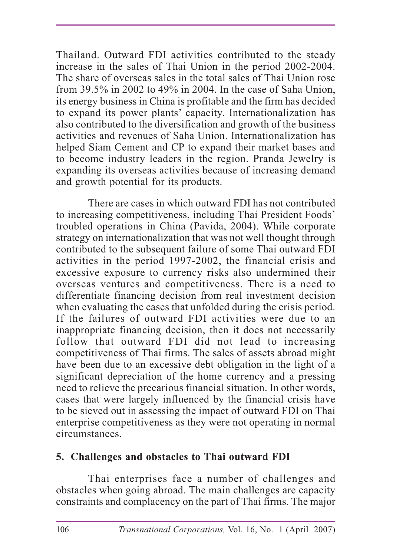Thailand. Outward FDI activities contributed to the steady increase in the sales of Thai Union in the period 2002-2004. The share of overseas sales in the total sales of Thai Union rose from 39.5% in 2002 to 49% in 2004. In the case of Saha Union, its energy business in China is profitable and the firm has decided to expand its power plants' capacity. Internationalization has also contributed to the diversification and growth of the business activities and revenues of Saha Union. Internationalization has helped Siam Cement and CP to expand their market bases and to become industry leaders in the region. Pranda Jewelry is expanding its overseas activities because of increasing demand and growth potential for its products.

There are cases in which outward FDI has not contributed to increasing competitiveness, including Thai President Foods' troubled operations in China (Pavida, 2004). While corporate strategy on internationalization that was not well thought through contributed to the subsequent failure of some Thai outward FDI activities in the period 1997-2002, the financial crisis and excessive exposure to currency risks also undermined their overseas ventures and competitiveness. There is a need to differentiate financing decision from real investment decision when evaluating the cases that unfolded during the crisis period. If the failures of outward FDI activities were due to an inappropriate financing decision, then it does not necessarily follow that outward FDI did not lead to increasing competitiveness of Thai firms. The sales of assets abroad might have been due to an excessive debt obligation in the light of a significant depreciation of the home currency and a pressing need to relieve the precarious financial situation. In other words, cases that were largely influenced by the financial crisis have to be sieved out in assessing the impact of outward FDI on Thai enterprise competitiveness as they were not operating in normal circumstances.

# **5. Challenges and obstacles to Thai outward FDI**

Thai enterprises face a number of challenges and obstacles when going abroad. The main challenges are capacity constraints and complacency on the part of Thai firms. The major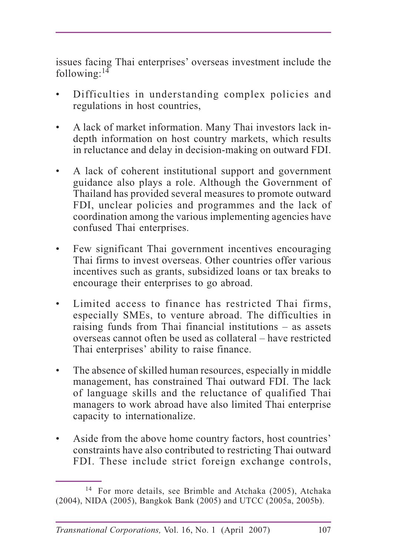issues facing Thai enterprises' overseas investment include the following: $14$ 

- Difficulties in understanding complex policies and regulations in host countries,
- A lack of market information. Many Thai investors lack indepth information on host country markets, which results in reluctance and delay in decision-making on outward FDI.
- A lack of coherent institutional support and government guidance also plays a role. Although the Government of Thailand has provided several measures to promote outward FDI, unclear policies and programmes and the lack of coordination among the various implementing agencies have confused Thai enterprises.
- Few significant Thai government incentives encouraging Thai firms to invest overseas. Other countries offer various incentives such as grants, subsidized loans or tax breaks to encourage their enterprises to go abroad.
- Limited access to finance has restricted Thai firms, especially SMEs, to venture abroad. The difficulties in raising funds from Thai financial institutions – as assets overseas cannot often be used as collateral – have restricted Thai enterprises' ability to raise finance.
- The absence of skilled human resources, especially in middle management, has constrained Thai outward FDI. The lack of language skills and the reluctance of qualified Thai managers to work abroad have also limited Thai enterprise capacity to internationalize.
- Aside from the above home country factors, host countries' constraints have also contributed to restricting Thai outward FDI. These include strict foreign exchange controls,

<sup>14</sup> For more details, see Brimble and Atchaka (2005), Atchaka (2004), NIDA (2005), Bangkok Bank (2005) and UTCC (2005a, 2005b).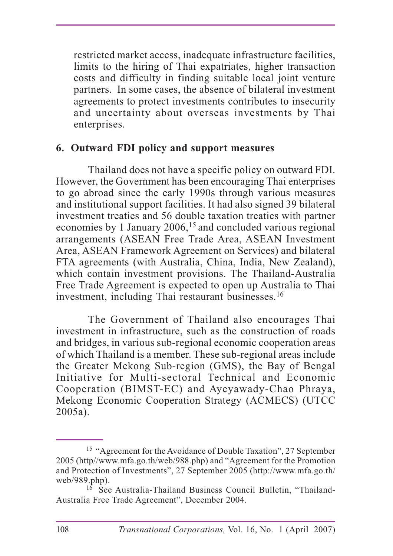restricted market access, inadequate infrastructure facilities, limits to the hiring of Thai expatriates, higher transaction costs and difficulty in finding suitable local joint venture partners. In some cases, the absence of bilateral investment agreements to protect investments contributes to insecurity and uncertainty about overseas investments by Thai enterprises.

#### **6. Outward FDI policy and support measures**

Thailand does not have a specific policy on outward FDI. However, the Government has been encouraging Thai enterprises to go abroad since the early 1990s through various measures and institutional support facilities. It had also signed 39 bilateral investment treaties and 56 double taxation treaties with partner economies by 1 January  $2006$ ,  $15$  and concluded various regional arrangements (ASEAN Free Trade Area, ASEAN Investment Area, ASEAN Framework Agreement on Services) and bilateral FTA agreements (with Australia, China, India, New Zealand), which contain investment provisions. The Thailand-Australia Free Trade Agreement is expected to open up Australia to Thai investment, including Thai restaurant businesses.<sup>16</sup>

The Government of Thailand also encourages Thai investment in infrastructure, such as the construction of roads and bridges, in various sub-regional economic cooperation areas of which Thailand is a member. These sub-regional areas include the Greater Mekong Sub-region (GMS), the Bay of Bengal Initiative for Multi-sectoral Technical and Economic Cooperation (BIMST-EC) and Ayeyawady-Chao Phraya, Mekong Economic Cooperation Strategy (ACMECS) (UTCC 2005a).

<sup>15 &</sup>quot;Agreement for the Avoidance of Double Taxation", 27 September 2005 (http//www.mfa.go.th/web/988.php) and "Agreement for the Promotion and Protection of Investments", 27 September 2005 (http://www.mfa.go.th/ web/989.php).

<sup>&</sup>lt;sup>16</sup> See Australia-Thailand Business Council Bulletin, "Thailand-Australia Free Trade Agreement", December 2004.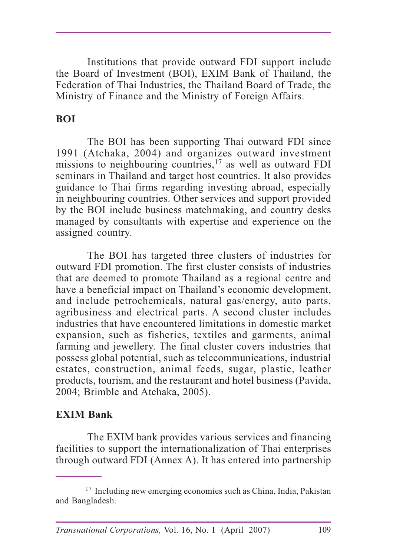Institutions that provide outward FDI support include the Board of Investment (BOI), EXIM Bank of Thailand, the Federation of Thai Industries, the Thailand Board of Trade, the Ministry of Finance and the Ministry of Foreign Affairs.

#### **BOI**

The BOI has been supporting Thai outward FDI since 1991 (Atchaka, 2004) and organizes outward investment missions to neighbouring countries,<sup>17</sup> as well as outward FDI seminars in Thailand and target host countries. It also provides guidance to Thai firms regarding investing abroad, especially in neighbouring countries. Other services and support provided by the BOI include business matchmaking, and country desks managed by consultants with expertise and experience on the assigned country.

The BOI has targeted three clusters of industries for outward FDI promotion. The first cluster consists of industries that are deemed to promote Thailand as a regional centre and have a beneficial impact on Thailand's economic development, and include petrochemicals, natural gas/energy, auto parts, agribusiness and electrical parts. A second cluster includes industries that have encountered limitations in domestic market expansion, such as fisheries, textiles and garments, animal farming and jewellery. The final cluster covers industries that possess global potential, such as telecommunications, industrial estates, construction, animal feeds, sugar, plastic, leather products, tourism, and the restaurant and hotel business (Pavida, 2004; Brimble and Atchaka, 2005).

#### **EXIM Bank**

The EXIM bank provides various services and financing facilities to support the internationalization of Thai enterprises through outward FDI (Annex A). It has entered into partnership

<sup>17</sup> Including new emerging economies such as China, India, Pakistan and Bangladesh.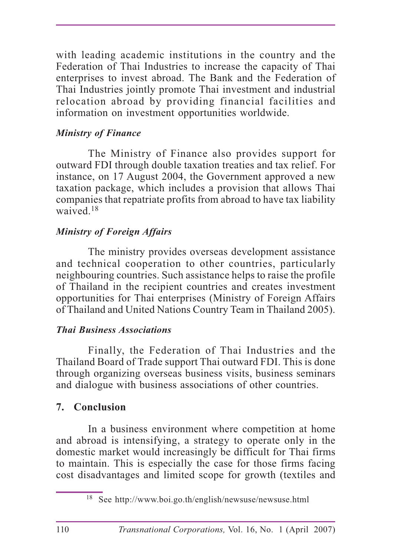with leading academic institutions in the country and the Federation of Thai Industries to increase the capacity of Thai enterprises to invest abroad. The Bank and the Federation of Thai Industries jointly promote Thai investment and industrial relocation abroad by providing financial facilities and information on investment opportunities worldwide.

# *Ministry of Finance*

The Ministry of Finance also provides support for outward FDI through double taxation treaties and tax relief. For instance, on 17 August 2004, the Government approved a new taxation package, which includes a provision that allows Thai companies that repatriate profits from abroad to have tax liability waived.<sup>18</sup>

# *Ministry of Foreign Affairs*

The ministry provides overseas development assistance and technical cooperation to other countries, particularly neighbouring countries. Such assistance helps to raise the profile of Thailand in the recipient countries and creates investment opportunities for Thai enterprises (Ministry of Foreign Affairs of Thailand and United Nations Country Team in Thailand 2005).

#### **Thai Business Associations** *Thai Business Associations*

Finally, the Federation of Thai Industries and the Thailand Board of Trade support Thai outward FDI. This is done through organizing overseas business visits, business seminars and dialogue with business associations of other countries.

# **7. Conclusion**

In a business environment where competition at home and abroad is intensifying, a strategy to operate only in the domestic market would increasingly be difficult for Thai firms to maintain. This is especially the case for those firms facing cost disadvantages and limited scope for growth (textiles and

<sup>18</sup> See http://www.boi.go.th/english/newsuse/newsuse.html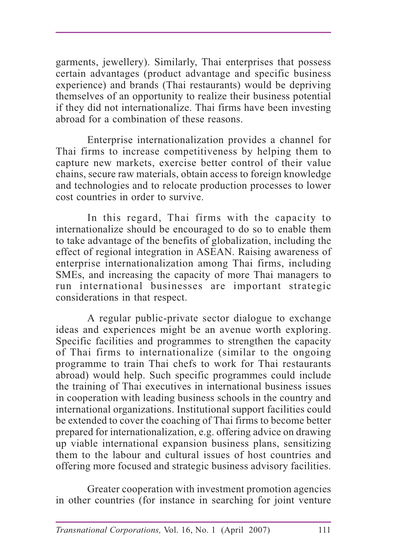garments, jewellery). Similarly, Thai enterprises that possess certain advantages (product advantage and specific business experience) and brands (Thai restaurants) would be depriving themselves of an opportunity to realize their business potential if they did not internationalize. Thai firms have been investing abroad for a combination of these reasons.

Enterprise internationalization provides a channel for Thai firms to increase competitiveness by helping them to capture new markets, exercise better control of their value chains, secure raw materials, obtain access to foreign knowledge and technologies and to relocate production processes to lower cost countries in order to survive.

In this regard, Thai firms with the capacity to internationalize should be encouraged to do so to enable them to take advantage of the benefits of globalization, including the effect of regional integration in ASEAN. Raising awareness of enterprise internationalization among Thai firms, including SMEs, and increasing the capacity of more Thai managers to run international businesses are important strategic considerations in that respect.

A regular public-private sector dialogue to exchange ideas and experiences might be an avenue worth exploring. Specific facilities and programmes to strengthen the capacity of Thai firms to internationalize (similar to the ongoing programme to train Thai chefs to work for Thai restaurants abroad) would help. Such specific programmes could include the training of Thai executives in international business issues in cooperation with leading business schools in the country and international organizations. Institutional support facilities could be extended to cover the coaching of Thai firms to become better prepared for internationalization, e.g. offering advice on drawing up viable international expansion business plans, sensitizing them to the labour and cultural issues of host countries and offering more focused and strategic business advisory facilities.

Greater cooperation with investment promotion agencies in other countries (for instance in searching for joint venture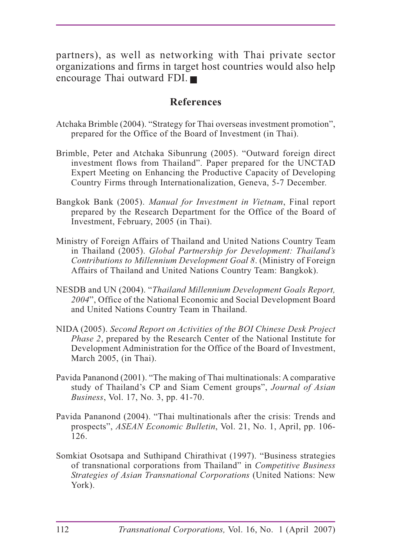partners), as well as networking with Thai private sector organizations and firms in target host countries would also help encourage Thai outward FDI.

#### **References**

- Atchaka Brimble (2004). "Strategy for Thai overseas investment promotion", prepared for the Office of the Board of Investment (in Thai).
- Brimble, Peter and Atchaka Sibunrung (2005). "Outward foreign direct investment flows from Thailand". Paper prepared for the UNCTAD Expert Meeting on Enhancing the Productive Capacity of Developing Country Firms through Internationalization, Geneva, 5-7 December.
- Bangkok Bank (2005). *Manual for Investment in Vietnam*, Final report prepared by the Research Department for the Office of the Board of Investment, February, 2005 (in Thai).
- Ministry of Foreign Affairs of Thailand and United Nations Country Team in Thailand (2005). *Global Partnership for Development: Thailand's Contributions to Millennium Development Goal 8*. (Ministry of Foreign Affairs of Thailand and United Nations Country Team: Bangkok).
- NESDB and UN (2004). "*Thailand Millennium Development Goals Report, 2004*", Office of the National Economic and Social Development Board and United Nations Country Team in Thailand.
- NIDA (2005). *Second Report on Activities of the BOI Chinese Desk Project Phase 2*, prepared by the Research Center of the National Institute for Development Administration for the Office of the Board of Investment, March 2005, (in Thai).
- Pavida Pananond (2001). "The making of Thai multinationals: A comparative study of Thailand's CP and Siam Cement groups", *Journal of Asian Business*, Vol. 17, No. 3, pp. 41-70.
- Pavida Pananond (2004). "Thai multinationals after the crisis: Trends and prospects", *ASEAN Economic Bulletin*, Vol. 21, No. 1, April, pp. 106- 126.
- Somkiat Osotsapa and Suthipand Chirathivat (1997). "Business strategies of transnational corporations from Thailand" in *Competitive Business Strategies of Asian Transnational Corporations* (United Nations: New York).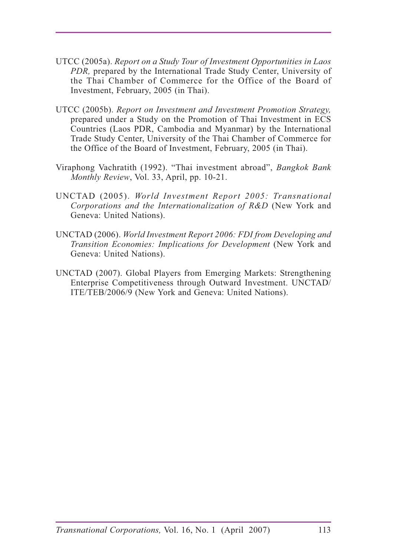- UTCC (2005a). *Report on a Study Tour of Investment Opportunities in Laos PDR,* prepared by the International Trade Study Center, University of the Thai Chamber of Commerce for the Office of the Board of Investment, February, 2005 (in Thai).
- UTCC (2005b). *Report on Investment and Investment Promotion Strategy,* prepared under a Study on the Promotion of Thai Investment in ECS Countries (Laos PDR, Cambodia and Myanmar) by the International Trade Study Center, University of the Thai Chamber of Commerce for the Office of the Board of Investment, February, 2005 (in Thai).
- Viraphong Vachratith (1992). "Thai investment abroad", *Bangkok Bank Monthly Review*, Vol. 33, April, pp. 10-21.
- UNCTAD (2005). *World Investment Report 2005: Transnational Corporations and the Internationalization of R&D* (New York and Geneva: United Nations).
- UNCTAD (2006). *World Investment Report 2006: FDI from Developing and Transition Economies: Implications for Development* (New York and Geneva: United Nations).
- UNCTAD (2007). Global Players from Emerging Markets: Strengthening Enterprise Competitiveness through Outward Investment. UNCTAD/ ITE/TEB/2006/9 (New York and Geneva: United Nations).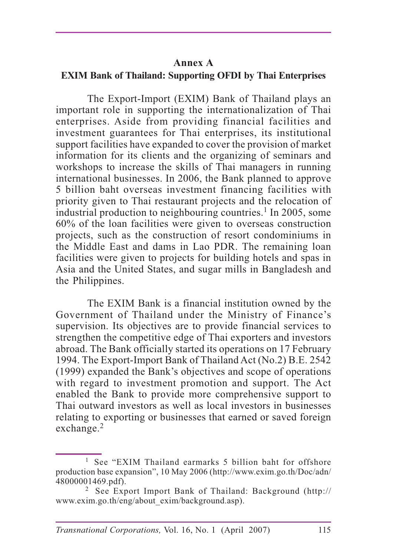#### **Annex A**

#### **EXIM Bank of Thailand: Supporting OFDI by Thai Enterprises**

The Export-Import (EXIM) Bank of Thailand plays an important role in supporting the internationalization of Thai enterprises. Aside from providing financial facilities and investment guarantees for Thai enterprises, its institutional support facilities have expanded to cover the provision of market information for its clients and the organizing of seminars and workshops to increase the skills of Thai managers in running international businesses. In 2006, the Bank planned to approve 5 billion baht overseas investment financing facilities with priority given to Thai restaurant projects and the relocation of industrial production to neighbouring countries.<sup>1</sup> In 2005, some 60% of the loan facilities were given to overseas construction projects, such as the construction of resort condominiums in the Middle East and dams in Lao PDR. The remaining loan facilities were given to projects for building hotels and spas in Asia and the United States, and sugar mills in Bangladesh and the Philippines.

The EXIM Bank is a financial institution owned by the Government of Thailand under the Ministry of Finance's supervision. Its objectives are to provide financial services to strengthen the competitive edge of Thai exporters and investors abroad. The Bank officially started its operations on 17 February 1994. The Export-Import Bank of Thailand Act (No.2) B.E. 2542 (1999) expanded the Bank's objectives and scope of operations with regard to investment promotion and support. The Act enabled the Bank to provide more comprehensive support to Thai outward investors as well as local investors in businesses relating to exporting or businesses that earned or saved foreign exchange.<sup>2</sup>

<sup>&</sup>lt;sup>1</sup> See "EXIM Thailand earmarks 5 billion baht for offshore production base expansion", 10 May 2006 (http://www.exim.go.th/Doc/adn/ 48000001469.pdf).

<sup>2</sup> See Export Import Bank of Thailand: Background (http:// www.exim.go.th/eng/about\_exim/background.asp).